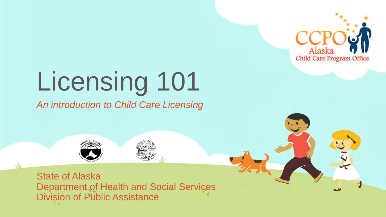

# Licensing 101

*An introduction to Child Care Licensing* 



 Department of Health and Social Services Division of Public Assistance State of Alaska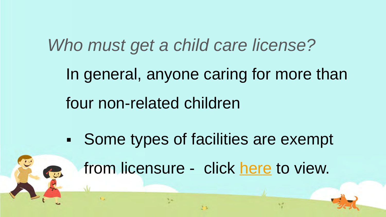*Who must get a child care license?*  In general, anyone caring for more than four non-related children

 Some types of facilities are exempt from licensure - click [here](http://www.akleg.gov/basis/aac.asp#7.57.015) to view.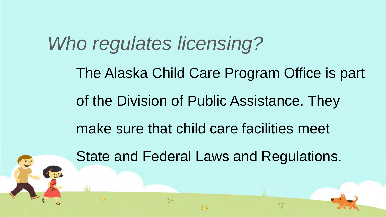## *Who regulates licensing?*

 of the Division of Public Assistance. They The Alaska Child Care Program Office is part

make sure that child care facilities meet

State and Federal Laws and Regulations.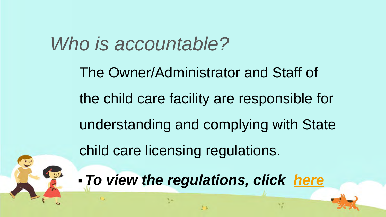### *Who is accountable?*

The Owner/Administrator and Staff of the child care facility are responsible for understanding and complying with State child care licensing regulations.

 *To view the regulations, click [here](http://dhss.alaska.gov/dpa/Pages/ccare/regs.aspx)* 

y.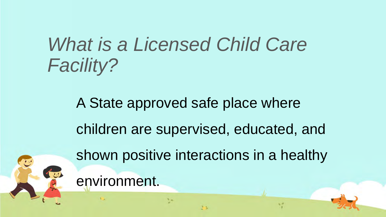## *What is a Licensed Child Care Facility?*

 children are supervised, educated, and A State approved safe place where shown positive interactions in a healthy environment.

 $\mathbf{V}$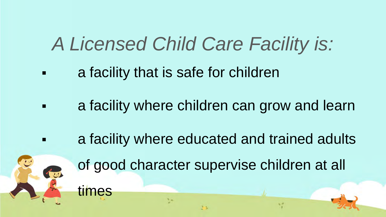## *A Licensed Child Care Facility is:*

**Example 1 Fig. 2 a** facility that is safe for children

times

七

- **Example 2** a facility where children can grow and learn
- a facility where educated and trained adults
	- of good character supervise children at all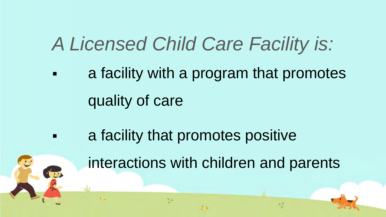## *A Licensed Child Care Facility is:*

- a facility with a program that promotes quality of care
- a facility that promotes positive

interactions with children and parents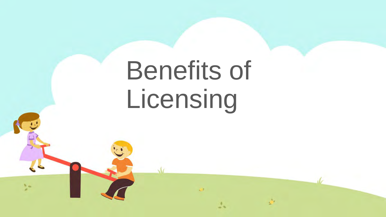# Benefits of Licensing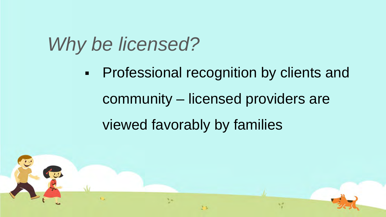viewed favorably by families **-** Professional recognition by clients and community – licensed providers are

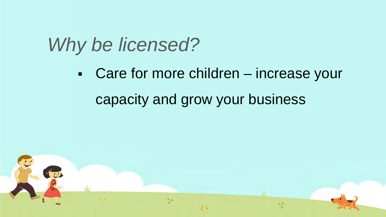capacity and grow your business Care for more children – increase your

大型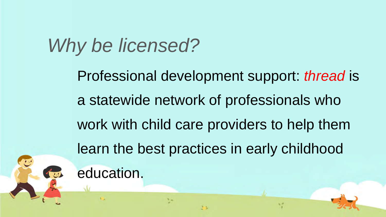a statewide network of professionals who Professional development support: *thread* is work with child care providers to help them learn the best practices in early childhood education.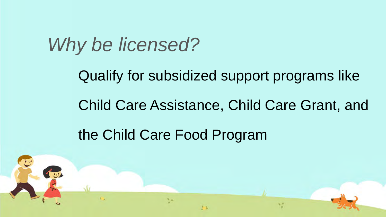Qualify for subsidized support programs like

Child Care Assistance, Child Care Grant, and

the Child Care Food Program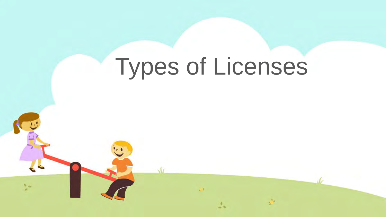# Types of Licenses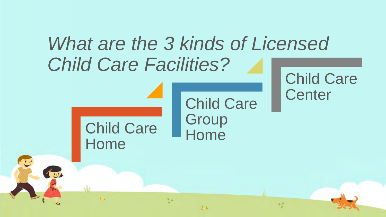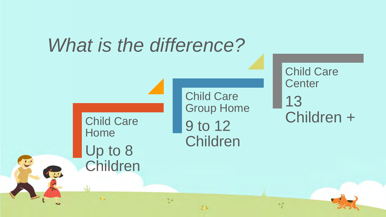

立た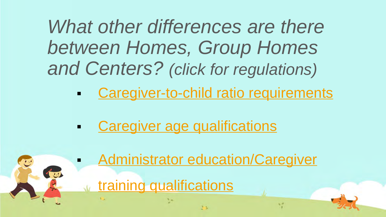*What other differences are there between Homes, Group Homes and Centers? (click for regulations)* 

- **Example 20 Caregiver-to-child ratio requirements**
- **Caregiver age qualifications**
- **Administrator education/Caregiver** イッ training qualifications 大王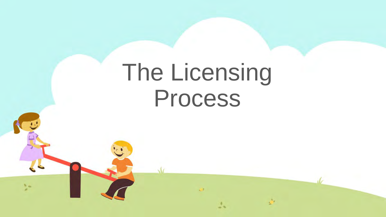## The Licensing Process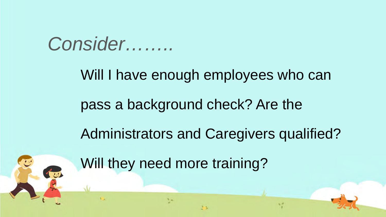#### *Consider……..*

一

#### Will I have enough employees who can

#### pass a background check? Are the

#### Administrators and Caregivers qualified?

Will they need more training?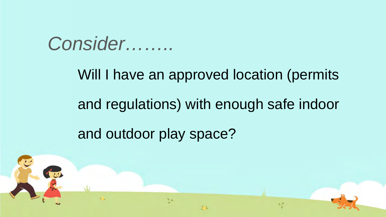*Consider……..* 

## and outdoor play space? Will I have an approved location (permits and regulations) with enough safe indoor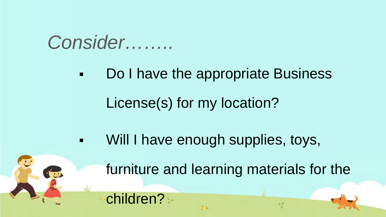### *Consider……..*

大型

children?

**-** Do I have the appropriate Business

License(s) for my location?

 Will I have enough supplies, toys, furniture and learning materials for the

 $\mathbf{V}$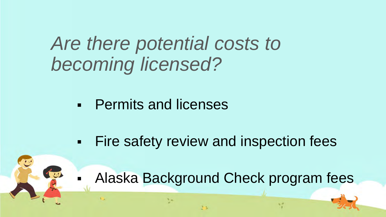*Are there potential costs to becoming licensed?* 

**Permits and licenses** 

**Fire safety review and inspection fees** 

大王

Alaska Background Check program fees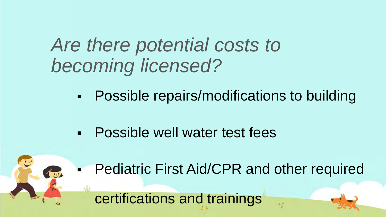## *Are there potential costs to becoming licensed?*

- **-** Possible repairs/modifications to building
- Possible well water test fees
- **Pediatric First Aid/CPR and other required**

certifications and trainings

大學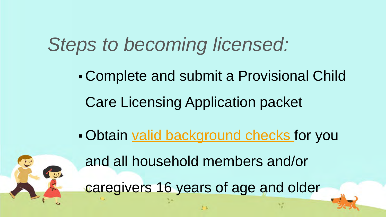## *Steps to becoming licensed:*

Complete and submit a Provisional Child Care Licensing Application packet

Obtain [valid background checks](https://nabcs.dhss.ak.local/Help) for you



and all household members and/or caregivers 16 years of age and older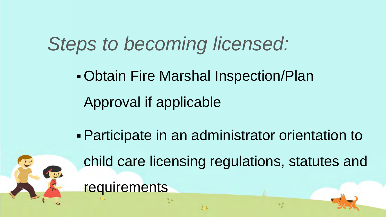## *Steps to becoming licensed:*

- Obtain Fire Marshal Inspection/Plan Approval if applicable
- Participate in an administrator orientation to



child care licensing regulations, statutes and **requirements** 

 $\mathcal{N}$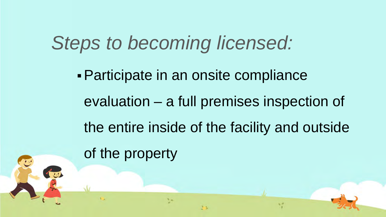## *Steps to becoming licensed:*

Participate in an onsite compliance evaluation – a full premises inspection of the entire inside of the facility and outside of the property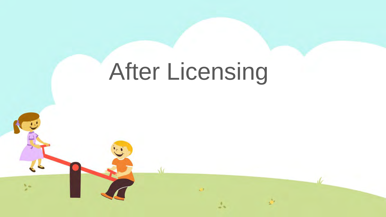## After Licensing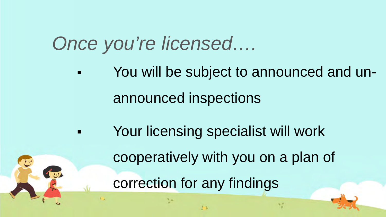## *Once you're licensed….*

- You will be subject to announced and unannounced inspections
	- Your licensing specialist will work correction for any findings cooperatively with you on a plan of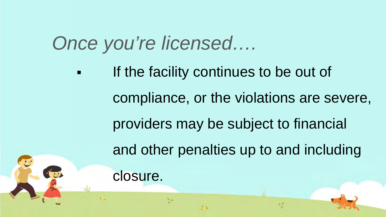## *Once you're licensed….*

**If the facility continues to be out of**  and other penalties up to and including compliance, or the violations are severe, providers may be subject to financial closure.

 $\mathbf{V}$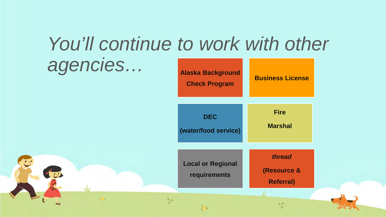## *You'll continue to work with other agencies…* **Alaska Background**

立刻

大學